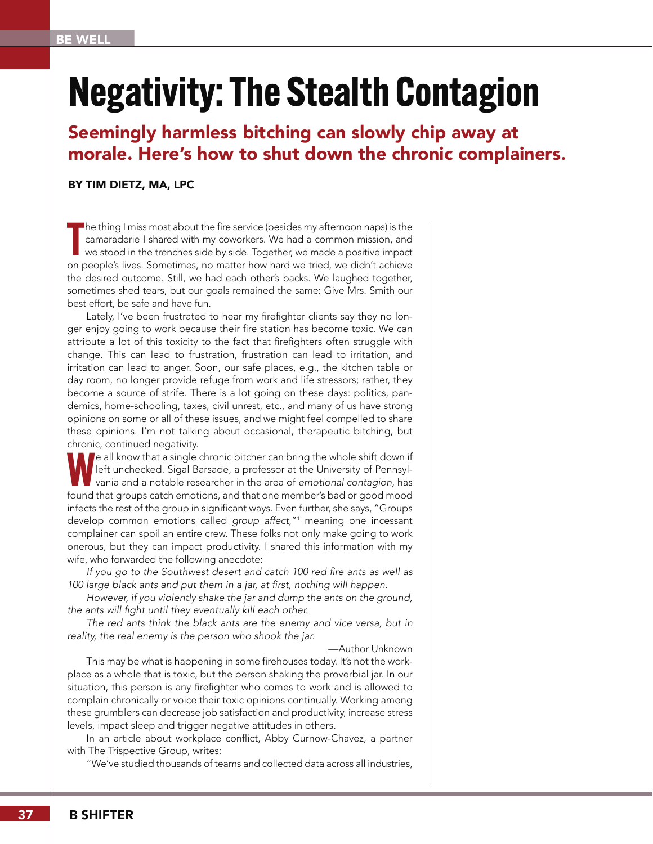# **Negativity: The Stealth Contagion**

## Seemingly harmless bitching can slowly chip away at morale. Here's how to shut down the chronic complainers.

#### BY TIM DIETZ, MA, LPC

The thing I miss most about the fire service (besides my afternoon naps) is the camaraderie I shared with my coworkers. We had a common mission, and we stood in the trenches side by side. Together, we made a positive impac he thing I miss most about the fire service (besides my afternoon naps) is the camaraderie I shared with my coworkers. We had a common mission, and we stood in the trenches side by side. Together, we made a positive impact the desired outcome. Still, we had each other's backs. We laughed together, sometimes shed tears, but our goals remained the same: Give Mrs. Smith our best effort, be safe and have fun.

Lately, I've been frustrated to hear my firefighter clients say they no longer enjoy going to work because their fire station has become toxic. We can attribute a lot of this toxicity to the fact that firefighters often struggle with change. This can lead to frustration, frustration can lead to irritation, and irritation can lead to anger. Soon, our safe places, e.g., the kitchen table or day room, no longer provide refuge from work and life stressors; rather, they become a source of strife. There is a lot going on these days: politics, pandemics, home-schooling, taxes, civil unrest, etc., and many of us have strong opinions on some or all of these issues, and we might feel compelled to share these opinions. I'm not talking about occasional, therapeutic bitching, but chronic, continued negativity.

**Pe all know that a single chronic bitcher can bring the whole shift down if** left unchecked. Sigal Barsade, a professor at the University of Pennsylvania and a notable researcher in the area of *emotional contagion,* has found that groups catch emotions, and that one member's bad or good mood infects the rest of the group in significant ways. Even further, she says, "Groups develop common emotions called *group affect*,"<sup>1</sup> meaning one incessant complainer can spoil an entire crew. These folks not only make going to work onerous, but they can impact productivity. I shared this information with my wife, who forwarded the following anecdote:

If you go to the Southwest desert and catch 100 red fire ants as well as 100 large black ants and put them in a jar, at first, nothing will happen.

*However, if you violently shake the jar and dump the ants on the ground,*  the ants will fight until they eventually kill each other.

*The red ants think the black ants are the enemy and vice versa, but in*  reality, the real enemy is the person who shook the jar.

—Author Unknown

This may be what is happening in some firehouses today. It's not the workplace as a whole that is toxic, but the person shaking the proverbial jar. In our situation, this person is any firefighter who comes to work and is allowed to complain chronically or voice their toxic opinions continually. Working among these grumblers can decrease job satisfaction and productivity, increase stress levels, impact sleep and trigger negative attitudes in others.

In an article about workplace conflict, Abby Curnow-Chavez, a partner with The Trispective Group, writes:

"We've studied thousands of teams and collected data across all industries,

37